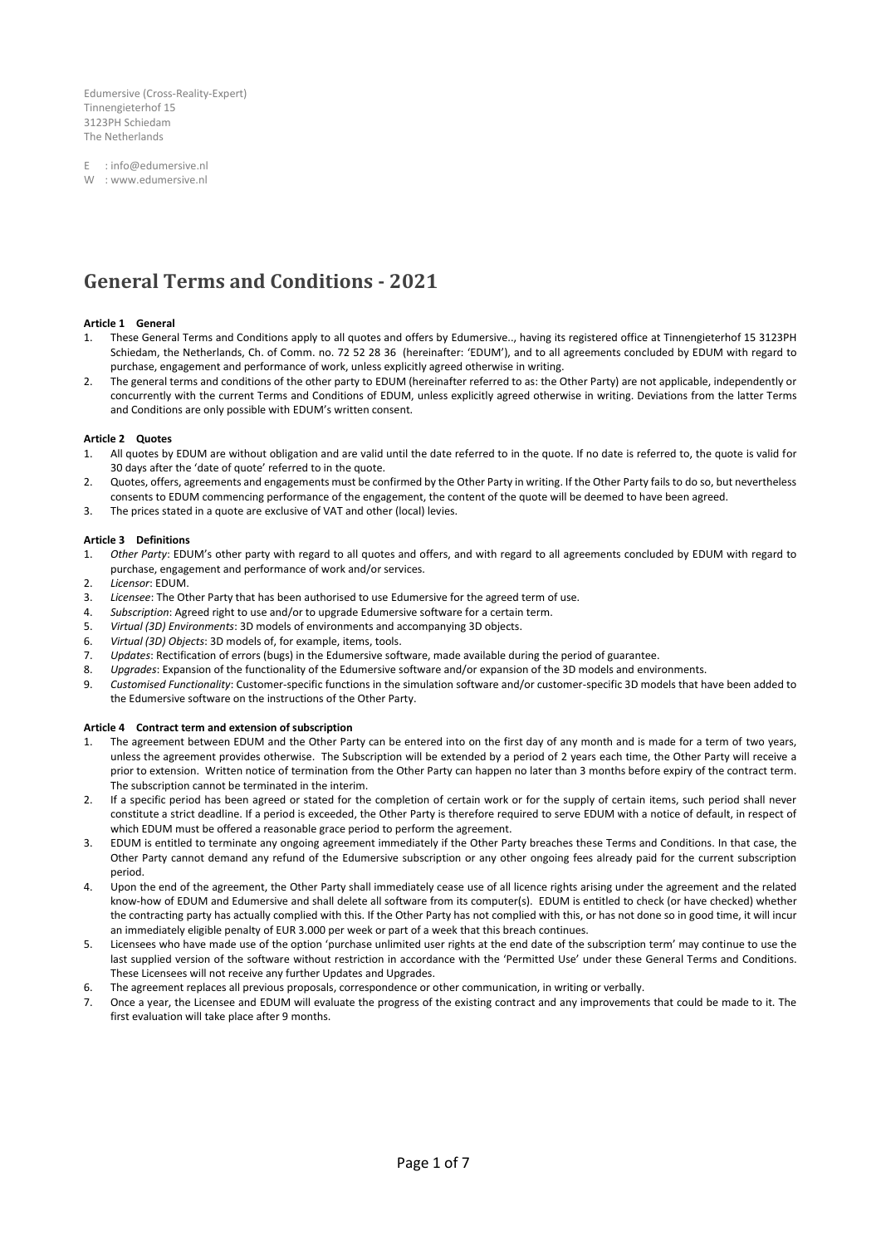Edumersive (Cross-Reality-Expert) Tinnengieterhof 15 3123PH Schiedam The Netherlands

E : info@edumersive.nl

W : www.edumersive.nl

# **General Terms and Conditions - 2021**

# **Article 1 General**

- 1. These General Terms and Conditions apply to all quotes and offers by Edumersive.., having its registered office at Tinnengieterhof 15 3123PH Schiedam, the Netherlands, Ch. of Comm. no. 72 52 28 36 (hereinafter: 'EDUM'), and to all agreements concluded by EDUM with regard to purchase, engagement and performance of work, unless explicitly agreed otherwise in writing.
- 2. The general terms and conditions of the other party to EDUM (hereinafter referred to as: the Other Party) are not applicable, independently or concurrently with the current Terms and Conditions of EDUM, unless explicitly agreed otherwise in writing. Deviations from the latter Terms and Conditions are only possible with EDUM's written consent.

# **Article 2 Quotes**

- 1. All quotes by EDUM are without obligation and are valid until the date referred to in the quote. If no date is referred to, the quote is valid for 30 days after the 'date of quote' referred to in the quote.
- 2. Quotes, offers, agreements and engagements must be confirmed by the Other Party in writing. If the Other Party fails to do so, but nevertheless consents to EDUM commencing performance of the engagement, the content of the quote will be deemed to have been agreed.
- 3. The prices stated in a quote are exclusive of VAT and other (local) levies.

#### **Article 3 Definitions**

- 1. *Other Party*: EDUM's other party with regard to all quotes and offers, and with regard to all agreements concluded by EDUM with regard to purchase, engagement and performance of work and/or services.
- 2. *Licensor*: EDUM.
- 3. *Licensee*: The Other Party that has been authorised to use Edumersive for the agreed term of use.
- 4. *Subscription*: Agreed right to use and/or to upgrade Edumersive software for a certain term.
- 5. *Virtual (3D) Environments*: 3D models of environments and accompanying 3D objects.
- 6. *Virtual (3D) Objects*: 3D models of, for example, items, tools.
- 7. *Updates*: Rectification of errors (bugs) in the Edumersive software, made available during the period of guarantee.
- 8. *Upgrades*: Expansion of the functionality of the Edumersive software and/or expansion of the 3D models and environments.
- 9. *Customised Functionality*: Customer-specific functions in the simulation software and/or customer-specific 3D models that have been added to the Edumersive software on the instructions of the Other Party.

#### **Article 4 Contract term and extension of subscription**

- The agreement between EDUM and the Other Party can be entered into on the first day of any month and is made for a term of two years, unless the agreement provides otherwise. The Subscription will be extended by a period of 2 years each time, the Other Party will receive a prior to extension. Written notice of termination from the Other Party can happen no later than 3 months before expiry of the contract term. The subscription cannot be terminated in the interim.
- 2. If a specific period has been agreed or stated for the completion of certain work or for the supply of certain items, such period shall never constitute a strict deadline. If a period is exceeded, the Other Party is therefore required to serve EDUM with a notice of default, in respect of which EDUM must be offered a reasonable grace period to perform the agreement.
- 3. EDUM is entitled to terminate any ongoing agreement immediately if the Other Party breaches these Terms and Conditions. In that case, the Other Party cannot demand any refund of the Edumersive subscription or any other ongoing fees already paid for the current subscription period.
- 4. Upon the end of the agreement, the Other Party shall immediately cease use of all licence rights arising under the agreement and the related know-how of EDUM and Edumersive and shall delete all software from its computer(s). EDUM is entitled to check (or have checked) whether the contracting party has actually complied with this. If the Other Party has not complied with this, or has not done so in good time, it will incur an immediately eligible penalty of EUR 3.000 per week or part of a week that this breach continues.
- 5. Licensees who have made use of the option 'purchase unlimited user rights at the end date of the subscription term' may continue to use the last supplied version of the software without restriction in accordance with the 'Permitted Use' under these General Terms and Conditions. These Licensees will not receive any further Updates and Upgrades.
- 6. The agreement replaces all previous proposals, correspondence or other communication, in writing or verbally.
- 7. Once a year, the Licensee and EDUM will evaluate the progress of the existing contract and any improvements that could be made to it. The first evaluation will take place after 9 months.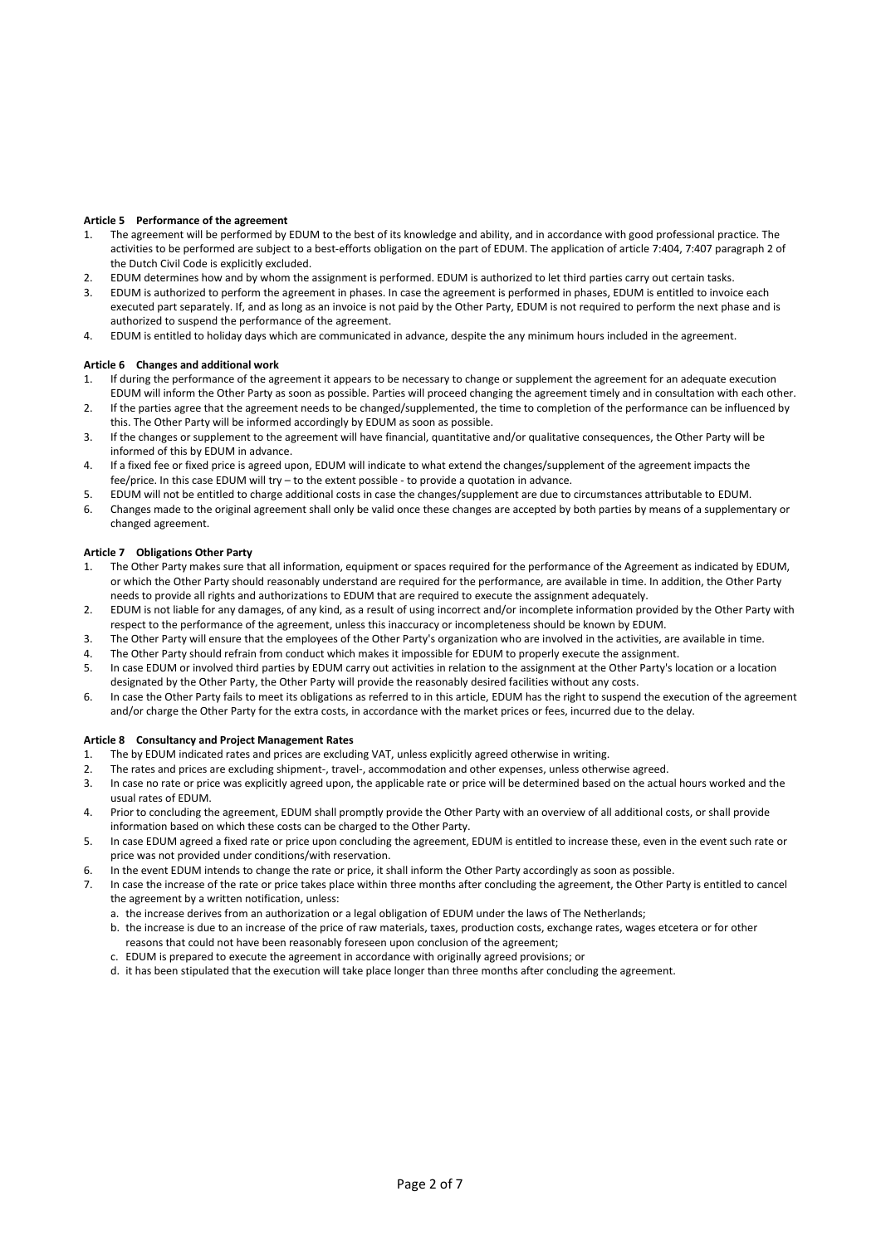# **Article 5 Performance of the agreement**

- 1. The agreement will be performed by EDUM to the best of its knowledge and ability, and in accordance with good professional practice. The activities to be performed are subject to a best-efforts obligation on the part of EDUM. The application of article 7:404, 7:407 paragraph 2 of the Dutch Civil Code is explicitly excluded.
- 2. EDUM determines how and by whom the assignment is performed. EDUM is authorized to let third parties carry out certain tasks.
- 3. EDUM is authorized to perform the agreement in phases. In case the agreement is performed in phases, EDUM is entitled to invoice each executed part separately. If, and as long as an invoice is not paid by the Other Party, EDUM is not required to perform the next phase and is authorized to suspend the performance of the agreement.
- 4. EDUM is entitled to holiday days which are communicated in advance, despite the any minimum hours included in the agreement.

# **Article 6 Changes and additional work**

- 1. If during the performance of the agreement it appears to be necessary to change or supplement the agreement for an adequate execution EDUM will inform the Other Party as soon as possible. Parties will proceed changing the agreement timely and in consultation with each other.
- 2. If the parties agree that the agreement needs to be changed/supplemented, the time to completion of the performance can be influenced by this. The Other Party will be informed accordingly by EDUM as soon as possible.
- 3. If the changes or supplement to the agreement will have financial, quantitative and/or qualitative consequences, the Other Party will be informed of this by EDUM in advance.
- 4. If a fixed fee or fixed price is agreed upon, EDUM will indicate to what extend the changes/supplement of the agreement impacts the fee/price. In this case EDUM will try – to the extent possible - to provide a quotation in advance.
- 5. EDUM will not be entitled to charge additional costs in case the changes/supplement are due to circumstances attributable to EDUM.
- 6. Changes made to the original agreement shall only be valid once these changes are accepted by both parties by means of a supplementary or changed agreement.

#### **Article 7 Obligations Other Party**

- 1. The Other Party makes sure that all information, equipment or spaces required for the performance of the Agreement as indicated by EDUM, or which the Other Party should reasonably understand are required for the performance, are available in time. In addition, the Other Party needs to provide all rights and authorizations to EDUM that are required to execute the assignment adequately.
- 2. EDUM is not liable for any damages, of any kind, as a result of using incorrect and/or incomplete information provided by the Other Party with respect to the performance of the agreement, unless this inaccuracy or incompleteness should be known by EDUM.
- 3. The Other Party will ensure that the employees of the Other Party's organization who are involved in the activities, are available in time.
- 4. The Other Party should refrain from conduct which makes it impossible for EDUM to properly execute the assignment.
- 5. In case EDUM or involved third parties by EDUM carry out activities in relation to the assignment at the Other Party's location or a location designated by the Other Party, the Other Party will provide the reasonably desired facilities without any costs.
- 6. In case the Other Party fails to meet its obligations as referred to in this article, EDUM has the right to suspend the execution of the agreement and/or charge the Other Party for the extra costs, in accordance with the market prices or fees, incurred due to the delay.

#### **Article 8 Consultancy and Project Management Rates**

- 1. The by EDUM indicated rates and prices are excluding VAT, unless explicitly agreed otherwise in writing.
- 2. The rates and prices are excluding shipment-, travel-, accommodation and other expenses, unless otherwise agreed.
- 3. In case no rate or price was explicitly agreed upon, the applicable rate or price will be determined based on the actual hours worked and the usual rates of EDUM.
- 4. Prior to concluding the agreement, EDUM shall promptly provide the Other Party with an overview of all additional costs, or shall provide information based on which these costs can be charged to the Other Party.
- 5. In case EDUM agreed a fixed rate or price upon concluding the agreement, EDUM is entitled to increase these, even in the event such rate or price was not provided under conditions/with reservation.
- 6. In the event EDUM intends to change the rate or price, it shall inform the Other Party accordingly as soon as possible.
- 7. In case the increase of the rate or price takes place within three months after concluding the agreement, the Other Party is entitled to cancel the agreement by a written notification, unless:
	- a. the increase derives from an authorization or a legal obligation of EDUM under the laws of The Netherlands;
	- b. the increase is due to an increase of the price of raw materials, taxes, production costs, exchange rates, wages etcetera or for other reasons that could not have been reasonably foreseen upon conclusion of the agreement;
	- c. EDUM is prepared to execute the agreement in accordance with originally agreed provisions; or
	- d. it has been stipulated that the execution will take place longer than three months after concluding the agreement.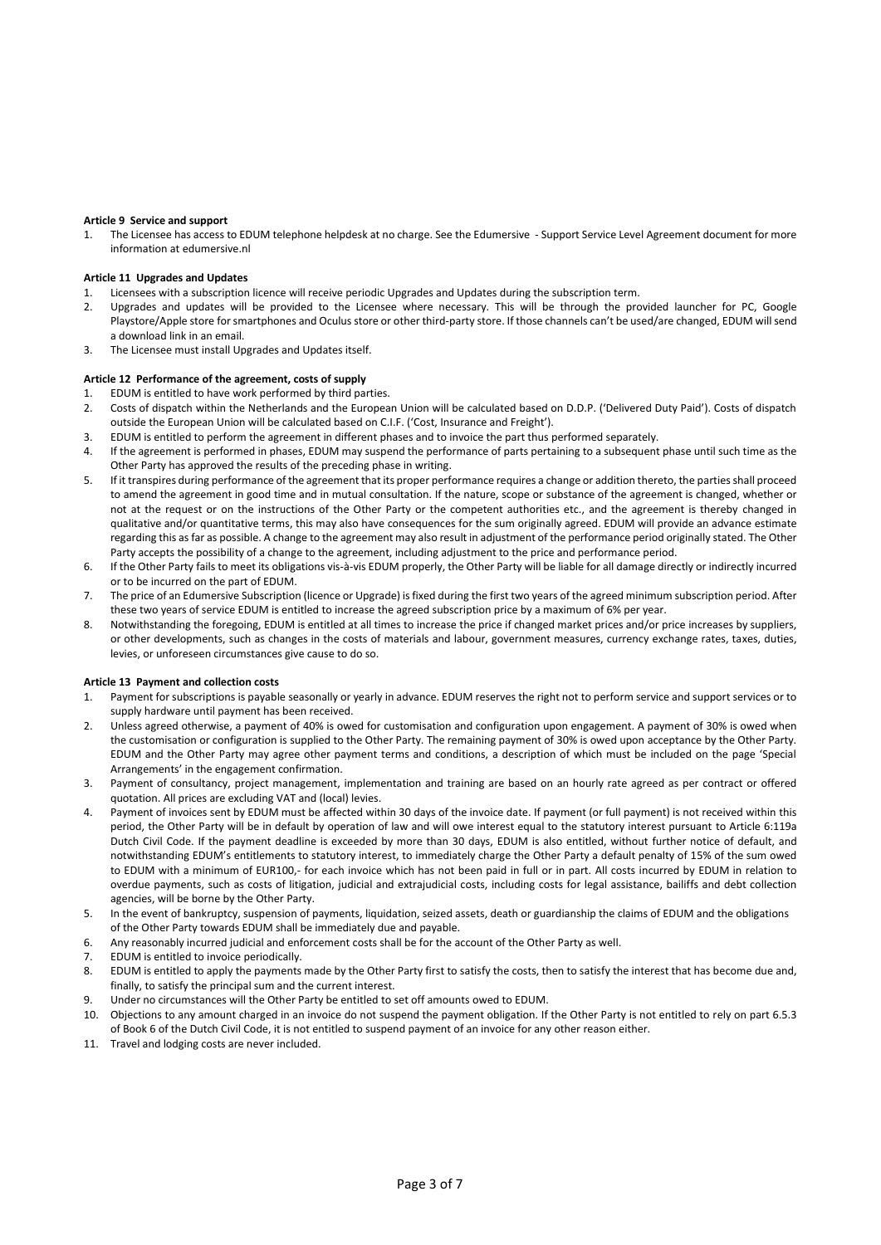#### **Article 9 Service and support**

1. The Licensee has access to EDUM telephone helpdesk at no charge. See the Edumersive - Support Service Level Agreement document for more information at edumersive.nl

#### **Article 11 Upgrades and Updates**

- 1. Licensees with a subscription licence will receive periodic Upgrades and Updates during the subscription term.
- 2. Upgrades and updates will be provided to the Licensee where necessary. This will be through the provided launcher for PC, Google Playstore/Apple store for smartphones and Oculus store or other third-party store. If those channels can't be used/are changed, EDUM will send a download link in an email.
- 3. The Licensee must install Upgrades and Updates itself.

#### **Article 12 Performance of the agreement, costs of supply**

- 1. EDUM is entitled to have work performed by third parties.
- 2. Costs of dispatch within the Netherlands and the European Union will be calculated based on D.D.P. ('Delivered Duty Paid'). Costs of dispatch outside the European Union will be calculated based on C.I.F. ('Cost, Insurance and Freight').
- 3. EDUM is entitled to perform the agreement in different phases and to invoice the part thus performed separately.
- 4. If the agreement is performed in phases, EDUM may suspend the performance of parts pertaining to a subsequent phase until such time as the Other Party has approved the results of the preceding phase in writing.
- 5. If it transpires during performance of the agreement that its proper performance requires a change or addition thereto, the parties shall proceed to amend the agreement in good time and in mutual consultation. If the nature, scope or substance of the agreement is changed, whether or not at the request or on the instructions of the Other Party or the competent authorities etc., and the agreement is thereby changed in qualitative and/or quantitative terms, this may also have consequences for the sum originally agreed. EDUM will provide an advance estimate regarding this as far as possible. A change to the agreement may also result in adjustment of the performance period originally stated. The Other Party accepts the possibility of a change to the agreement, including adjustment to the price and performance period.
- 6. If the Other Party fails to meet its obligations vis-à-vis EDUM properly, the Other Party will be liable for all damage directly or indirectly incurred or to be incurred on the part of EDUM.
- 7. The price of an Edumersive Subscription (licence or Upgrade) is fixed during the first two years of the agreed minimum subscription period. After these two years of service EDUM is entitled to increase the agreed subscription price by a maximum of 6% per year.
- 8. Notwithstanding the foregoing, EDUM is entitled at all times to increase the price if changed market prices and/or price increases by suppliers, or other developments, such as changes in the costs of materials and labour, government measures, currency exchange rates, taxes, duties, levies, or unforeseen circumstances give cause to do so.

#### **Article 13 Payment and collection costs**

- 1. Payment for subscriptions is payable seasonally or yearly in advance. EDUM reserves the right not to perform service and support services or to supply hardware until payment has been received.
- 2. Unless agreed otherwise, a payment of 40% is owed for customisation and configuration upon engagement. A payment of 30% is owed when the customisation or configuration is supplied to the Other Party. The remaining payment of 30% is owed upon acceptance by the Other Party. EDUM and the Other Party may agree other payment terms and conditions, a description of which must be included on the page 'Special Arrangements' in the engagement confirmation.
- 3. Payment of consultancy, project management, implementation and training are based on an hourly rate agreed as per contract or offered quotation. All prices are excluding VAT and (local) levies.
- 4. Payment of invoices sent by EDUM must be affected within 30 days of the invoice date. If payment (or full payment) is not received within this period, the Other Party will be in default by operation of law and will owe interest equal to the statutory interest pursuant to Article 6:119a Dutch Civil Code. If the payment deadline is exceeded by more than 30 days, EDUM is also entitled, without further notice of default, and notwithstanding EDUM's entitlements to statutory interest, to immediately charge the Other Party a default penalty of 15% of the sum owed to EDUM with a minimum of EUR100,- for each invoice which has not been paid in full or in part. All costs incurred by EDUM in relation to overdue payments, such as costs of litigation, judicial and extrajudicial costs, including costs for legal assistance, bailiffs and debt collection agencies, will be borne by the Other Party.
- 5. In the event of bankruptcy, suspension of payments, liquidation, seized assets, death or guardianship the claims of EDUM and the obligations of the Other Party towards EDUM shall be immediately due and payable.
- 6. Any reasonably incurred judicial and enforcement costs shall be for the account of the Other Party as well.
- 7. EDUM is entitled to invoice periodically.
- 8. EDUM is entitled to apply the payments made by the Other Party first to satisfy the costs, then to satisfy the interest that has become due and, finally, to satisfy the principal sum and the current interest.
- 9. Under no circumstances will the Other Party be entitled to set off amounts owed to EDUM.
- 10. Objections to any amount charged in an invoice do not suspend the payment obligation. If the Other Party is not entitled to rely on part 6.5.3 of Book 6 of the Dutch Civil Code, it is not entitled to suspend payment of an invoice for any other reason either.
- 11. Travel and lodging costs are never included.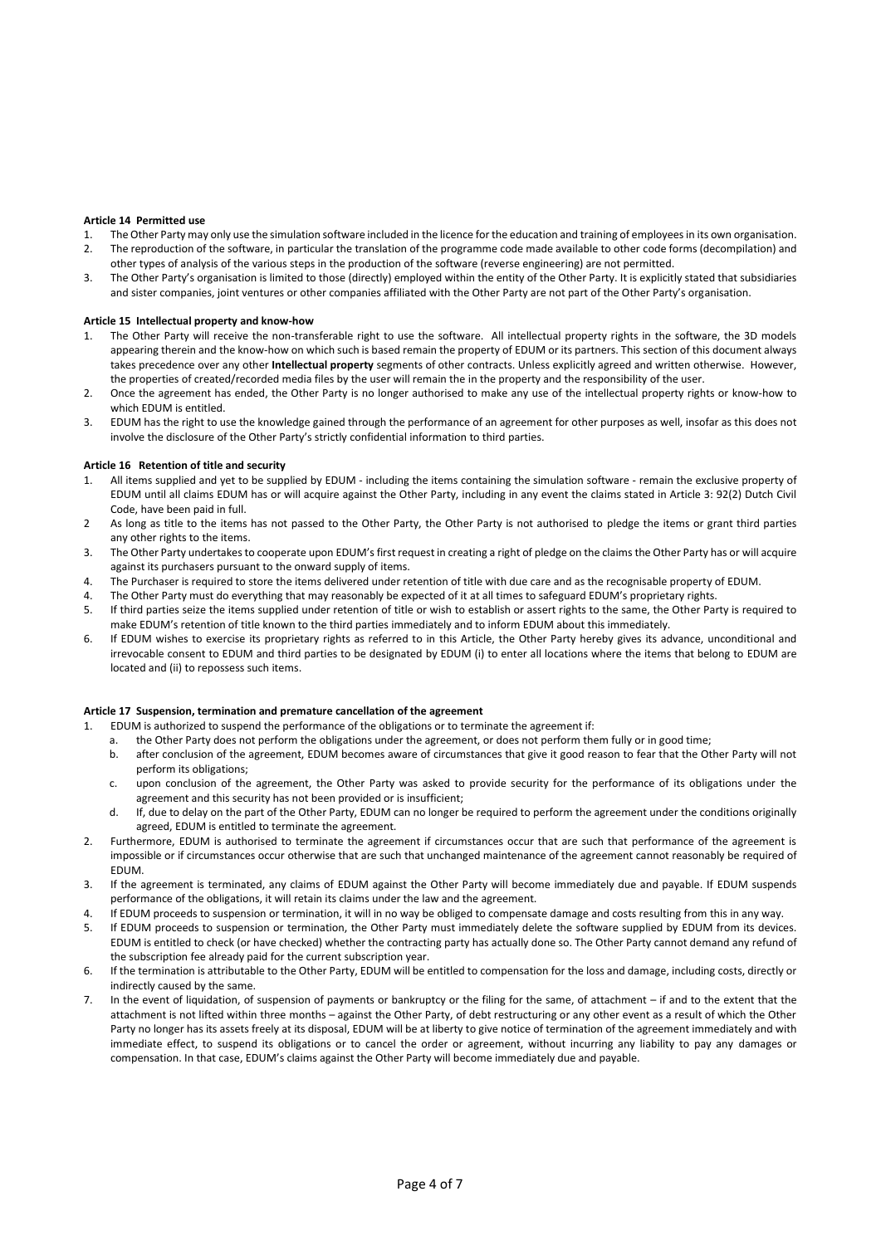#### **Article 14 Permitted use**

- 1. The Other Party may only use the simulation software included in the licence for the education and training of employees in its own organisation. 2. The reproduction of the software, in particular the translation of the programme code made available to other code forms (decompilation) and
- other types of analysis of the various steps in the production of the software (reverse engineering) are not permitted.
- 3. The Other Party's organisation is limited to those (directly) employed within the entity of the Other Party. It is explicitly stated that subsidiaries and sister companies, joint ventures or other companies affiliated with the Other Party are not part of the Other Party's organisation.

# **Article 15 Intellectual property and know-how**

- 1. The Other Party will receive the non-transferable right to use the software. All intellectual property rights in the software, the 3D models appearing therein and the know-how on which such is based remain the property of EDUM or its partners. This section of this document always takes precedence over any other **Intellectual property** segments of other contracts. Unless explicitly agreed and written otherwise. However, the properties of created/recorded media files by the user will remain the in the property and the responsibility of the user.
- 2. Once the agreement has ended, the Other Party is no longer authorised to make any use of the intellectual property rights or know-how to which EDUM is entitled.
- 3. EDUM has the right to use the knowledge gained through the performance of an agreement for other purposes as well, insofar as this does not involve the disclosure of the Other Party's strictly confidential information to third parties.

# **Article 16 Retention of title and security**

- All items supplied and yet to be supplied by EDUM including the items containing the simulation software remain the exclusive property of EDUM until all claims EDUM has or will acquire against the Other Party, including in any event the claims stated in Article 3: 92(2) Dutch Civil Code, have been paid in full.
- 2 As long as title to the items has not passed to the Other Party, the Other Party is not authorised to pledge the items or grant third parties any other rights to the items.
- 3. The Other Party undertakes to cooperate upon EDUM's first request in creating a right of pledge on the claims the Other Party has or will acquire against its purchasers pursuant to the onward supply of items.
- 4. The Purchaser is required to store the items delivered under retention of title with due care and as the recognisable property of EDUM.
- 4. The Other Party must do everything that may reasonably be expected of it at all times to safeguard EDUM's proprietary rights.
- 5. If third parties seize the items supplied under retention of title or wish to establish or assert rights to the same, the Other Party is required to make EDUM's retention of title known to the third parties immediately and to inform EDUM about this immediately.
- 6. If EDUM wishes to exercise its proprietary rights as referred to in this Article, the Other Party hereby gives its advance, unconditional and irrevocable consent to EDUM and third parties to be designated by EDUM (i) to enter all locations where the items that belong to EDUM are located and (ii) to repossess such items.

# **Article 17 Suspension, termination and premature cancellation of the agreement**

- 1. EDUM is authorized to suspend the performance of the obligations or to terminate the agreement if:
- a. the Other Party does not perform the obligations under the agreement, or does not perform them fully or in good time;
	- b. after conclusion of the agreement, EDUM becomes aware of circumstances that give it good reason to fear that the Other Party will not perform its obligations;
	- c. upon conclusion of the agreement, the Other Party was asked to provide security for the performance of its obligations under the agreement and this security has not been provided or is insufficient;
	- d. If, due to delay on the part of the Other Party, EDUM can no longer be required to perform the agreement under the conditions originally agreed, EDUM is entitled to terminate the agreement.
- 2. Furthermore, EDUM is authorised to terminate the agreement if circumstances occur that are such that performance of the agreement is impossible or if circumstances occur otherwise that are such that unchanged maintenance of the agreement cannot reasonably be required of EDUM.
- 3. If the agreement is terminated, any claims of EDUM against the Other Party will become immediately due and payable. If EDUM suspends performance of the obligations, it will retain its claims under the law and the agreement.
- 4. If EDUM proceeds to suspension or termination, it will in no way be obliged to compensate damage and costs resulting from this in any way.
- 5. If EDUM proceeds to suspension or termination, the Other Party must immediately delete the software supplied by EDUM from its devices. EDUM is entitled to check (or have checked) whether the contracting party has actually done so. The Other Party cannot demand any refund of the subscription fee already paid for the current subscription year.
- 6. If the termination is attributable to the Other Party, EDUM will be entitled to compensation for the loss and damage, including costs, directly or indirectly caused by the same.
- 7. In the event of liquidation, of suspension of payments or bankruptcy or the filing for the same, of attachment if and to the extent that the attachment is not lifted within three months – against the Other Party, of debt restructuring or any other event as a result of which the Other Party no longer has its assets freely at its disposal, EDUM will be at liberty to give notice of termination of the agreement immediately and with immediate effect, to suspend its obligations or to cancel the order or agreement, without incurring any liability to pay any damages or compensation. In that case, EDUM's claims against the Other Party will become immediately due and payable.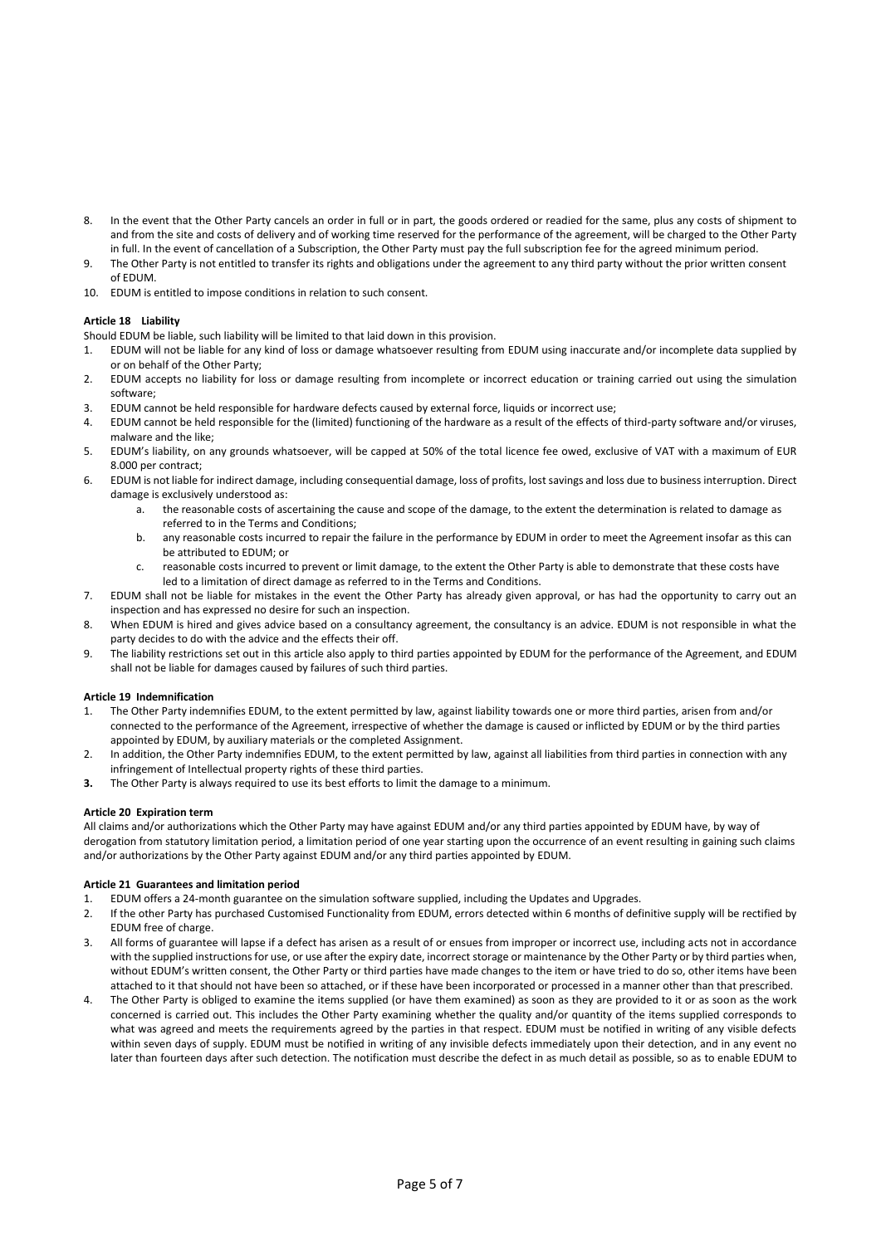- 8. In the event that the Other Party cancels an order in full or in part, the goods ordered or readied for the same, plus any costs of shipment to and from the site and costs of delivery and of working time reserved for the performance of the agreement, will be charged to the Other Party in full. In the event of cancellation of a Subscription, the Other Party must pay the full subscription fee for the agreed minimum period.
- 9. The Other Party is not entitled to transfer its rights and obligations under the agreement to any third party without the prior written consent of EDUM.
- 10. EDUM is entitled to impose conditions in relation to such consent.

# **Article 18 Liability**

- Should EDUM be liable, such liability will be limited to that laid down in this provision.
- 1. EDUM will not be liable for any kind of loss or damage whatsoever resulting from EDUM using inaccurate and/or incomplete data supplied by or on behalf of the Other Party;
- 2. EDUM accepts no liability for loss or damage resulting from incomplete or incorrect education or training carried out using the simulation software;
- 3. EDUM cannot be held responsible for hardware defects caused by external force, liquids or incorrect use;
- 4. EDUM cannot be held responsible for the (limited) functioning of the hardware as a result of the effects of third-party software and/or viruses, malware and the like;
- 5. EDUM's liability, on any grounds whatsoever, will be capped at 50% of the total licence fee owed, exclusive of VAT with a maximum of EUR 8.000 per contract;
- 6. EDUM is not liable for indirect damage, including consequential damage, loss of profits, lost savings and loss due to business interruption. Direct damage is exclusively understood as:
	- the reasonable costs of ascertaining the cause and scope of the damage, to the extent the determination is related to damage as referred to in the Terms and Conditions;
	- b. any reasonable costs incurred to repair the failure in the performance by EDUM in order to meet the Agreement insofar as this can be attributed to EDUM; or
	- c. reasonable costs incurred to prevent or limit damage, to the extent the Other Party is able to demonstrate that these costs have led to a limitation of direct damage as referred to in the Terms and Conditions.
- 7. EDUM shall not be liable for mistakes in the event the Other Party has already given approval, or has had the opportunity to carry out an inspection and has expressed no desire for such an inspection.
- 8. When EDUM is hired and gives advice based on a consultancy agreement, the consultancy is an advice. EDUM is not responsible in what the party decides to do with the advice and the effects their off.
- 9. The liability restrictions set out in this article also apply to third parties appointed by EDUM for the performance of the Agreement, and EDUM shall not be liable for damages caused by failures of such third parties.

# **Article 19 Indemnification**

- 1. The Other Party indemnifies EDUM, to the extent permitted by law, against liability towards one or more third parties, arisen from and/or connected to the performance of the Agreement, irrespective of whether the damage is caused or inflicted by EDUM or by the third parties appointed by EDUM, by auxiliary materials or the completed Assignment.
- 2. In addition, the Other Party indemnifies EDUM, to the extent permitted by law, against all liabilities from third parties in connection with any infringement of Intellectual property rights of these third parties.
- **3.** The Other Party is always required to use its best efforts to limit the damage to a minimum.

# **Article 20 Expiration term**

All claims and/or authorizations which the Other Party may have against EDUM and/or any third parties appointed by EDUM have, by way of derogation from statutory limitation period, a limitation period of one year starting upon the occurrence of an event resulting in gaining such claims and/or authorizations by the Other Party against EDUM and/or any third parties appointed by EDUM.

# **Article 21 Guarantees and limitation period**

- 1. EDUM offers a 24-month guarantee on the simulation software supplied, including the Updates and Upgrades.
- 2. If the other Party has purchased Customised Functionality from EDUM, errors detected within 6 months of definitive supply will be rectified by EDUM free of charge.
- 3. All forms of guarantee will lapse if a defect has arisen as a result of or ensues from improper or incorrect use, including acts not in accordance with the supplied instructions for use, or use after the expiry date, incorrect storage or maintenance by the Other Party or by third parties when, without EDUM's written consent, the Other Party or third parties have made changes to the item or have tried to do so, other items have been attached to it that should not have been so attached, or if these have been incorporated or processed in a manner other than that prescribed.
- 4. The Other Party is obliged to examine the items supplied (or have them examined) as soon as they are provided to it or as soon as the work concerned is carried out. This includes the Other Party examining whether the quality and/or quantity of the items supplied corresponds to what was agreed and meets the requirements agreed by the parties in that respect. EDUM must be notified in writing of any visible defects within seven days of supply. EDUM must be notified in writing of any invisible defects immediately upon their detection, and in any event no later than fourteen days after such detection. The notification must describe the defect in as much detail as possible, so as to enable EDUM to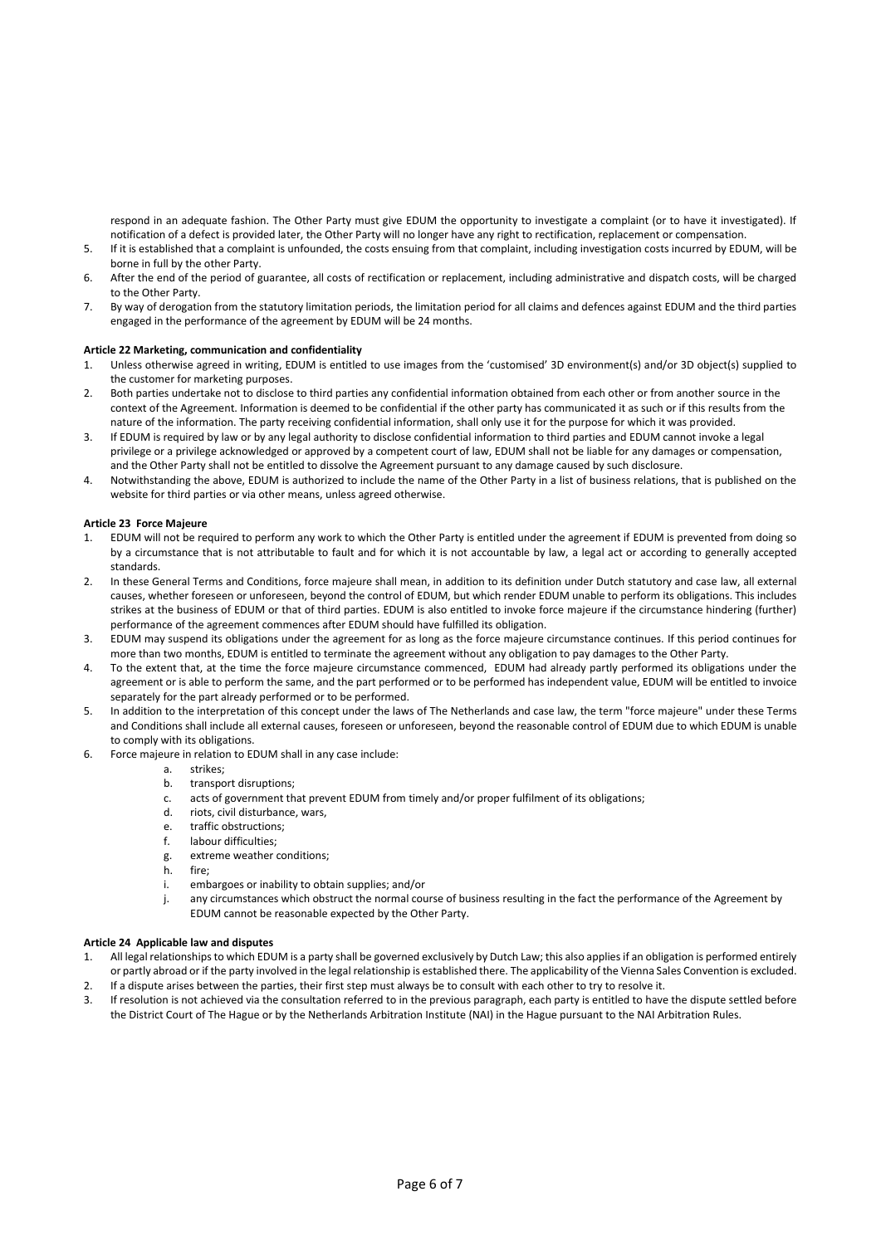respond in an adequate fashion. The Other Party must give EDUM the opportunity to investigate a complaint (or to have it investigated). If notification of a defect is provided later, the Other Party will no longer have any right to rectification, replacement or compensation.

- 5. If it is established that a complaint is unfounded, the costs ensuing from that complaint, including investigation costs incurred by EDUM, will be borne in full by the other Party.
- 6. After the end of the period of guarantee, all costs of rectification or replacement, including administrative and dispatch costs, will be charged to the Other Party.
- 7. By way of derogation from the statutory limitation periods, the limitation period for all claims and defences against EDUM and the third parties engaged in the performance of the agreement by EDUM will be 24 months.

# **Article 22 Marketing, communication and confidentiality**

- 1. Unless otherwise agreed in writing, EDUM is entitled to use images from the 'customised' 3D environment(s) and/or 3D object(s) supplied to the customer for marketing purposes.
- 2. Both parties undertake not to disclose to third parties any confidential information obtained from each other or from another source in the context of the Agreement. Information is deemed to be confidential if the other party has communicated it as such or if this results from the nature of the information. The party receiving confidential information, shall only use it for the purpose for which it was provided.
- 3. If EDUM is required by law or by any legal authority to disclose confidential information to third parties and EDUM cannot invoke a legal privilege or a privilege acknowledged or approved by a competent court of law, EDUM shall not be liable for any damages or compensation, and the Other Party shall not be entitled to dissolve the Agreement pursuant to any damage caused by such disclosure.
- 4. Notwithstanding the above, EDUM is authorized to include the name of the Other Party in a list of business relations, that is published on the website for third parties or via other means, unless agreed otherwise.

# **Article 23 Force Majeure**

- 1. EDUM will not be required to perform any work to which the Other Party is entitled under the agreement if EDUM is prevented from doing so by a circumstance that is not attributable to fault and for which it is not accountable by law, a legal act or according to generally accepted standards.
- 2. In these General Terms and Conditions, force majeure shall mean, in addition to its definition under Dutch statutory and case law, all external causes, whether foreseen or unforeseen, beyond the control of EDUM, but which render EDUM unable to perform its obligations. This includes strikes at the business of EDUM or that of third parties. EDUM is also entitled to invoke force majeure if the circumstance hindering (further) performance of the agreement commences after EDUM should have fulfilled its obligation.
- 3. EDUM may suspend its obligations under the agreement for as long as the force majeure circumstance continues. If this period continues for more than two months, EDUM is entitled to terminate the agreement without any obligation to pay damages to the Other Party.
- 4. To the extent that, at the time the force majeure circumstance commenced, EDUM had already partly performed its obligations under the agreement or is able to perform the same, and the part performed or to be performed has independent value, EDUM will be entitled to invoice separately for the part already performed or to be performed.
- 5. In addition to the interpretation of this concept under the laws of The Netherlands and case law, the term "force majeure" under these Terms and Conditions shall include all external causes, foreseen or unforeseen, beyond the reasonable control of EDUM due to which EDUM is unable to comply with its obligations.
- 6. Force majeure in relation to EDUM shall in any case include:
	- a. strikes;
		- b. transport disruptions;
		- c. acts of government that prevent EDUM from timely and/or proper fulfilment of its obligations;
		- d. riots, civil disturbance, wars,
		- e. traffic obstructions;
		- f. labour difficulties;
		- g. extreme weather conditions;
		- h. fire;
		- embargoes or inability to obtain supplies; and/or
	- j. any circumstances which obstruct the normal course of business resulting in the fact the performance of the Agreement by EDUM cannot be reasonable expected by the Other Party.

# **Article 24 Applicable law and disputes**

- 1. All legal relationships to which EDUM is a party shall be governed exclusively by Dutch Law; this also applies if an obligation is performed entirely or partly abroad or if the party involved in the legal relationship is established there. The applicability of the Vienna Sales Convention is excluded.
- 2. If a dispute arises between the parties, their first step must always be to consult with each other to try to resolve it.
- 3. If resolution is not achieved via the consultation referred to in the previous paragraph, each party is entitled to have the dispute settled before the District Court of The Hague or by the Netherlands Arbitration Institute (NAI) in the Hague pursuant to the NAI Arbitration Rules.